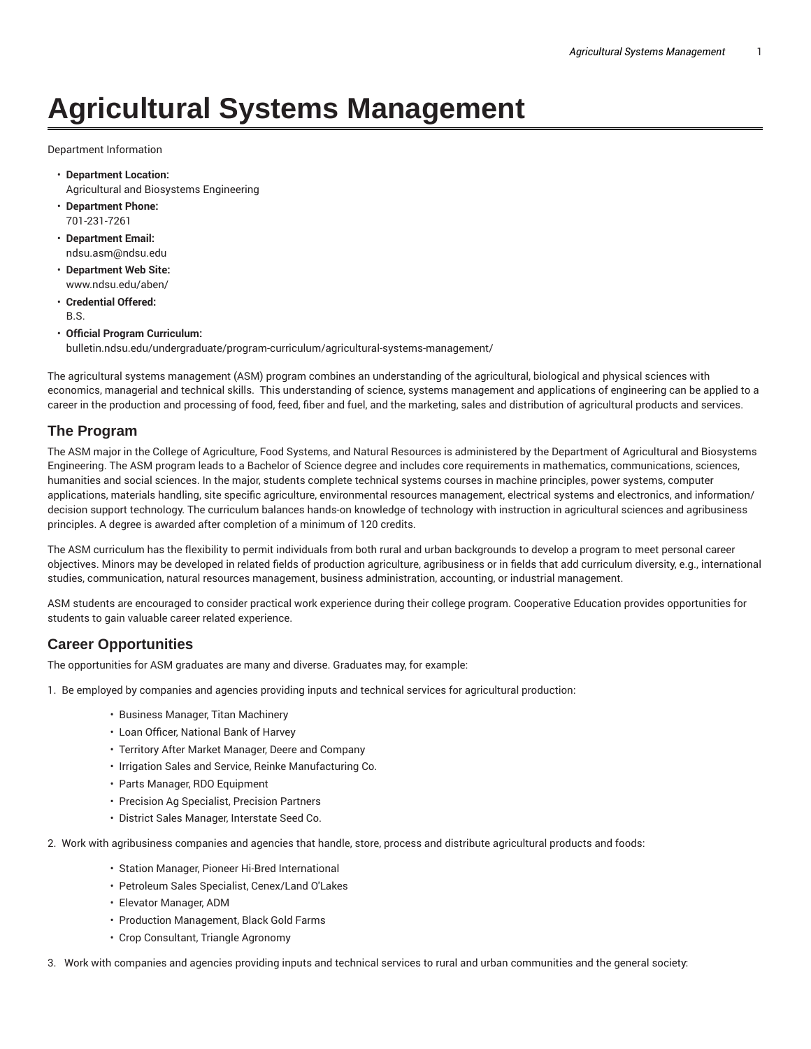# **Agricultural Systems Management**

Department Information

- **Department Location:** Agricultural and Biosystems Engineering
- **Department Phone:** 701-231-7261
- **Department Email:** ndsu.asm@ndsu.edu
- **Department Web Site:** www.ndsu.edu/aben/
- **Credential Offered:** B.S.
- **Official Program Curriculum:** bulletin.ndsu.edu/undergraduate/program-curriculum/agricultural-systems-management/

The agricultural systems management (ASM) program combines an understanding of the agricultural, biological and physical sciences with economics, managerial and technical skills. This understanding of science, systems management and applications of engineering can be applied to a career in the production and processing of food, feed, fiber and fuel, and the marketing, sales and distribution of agricultural products and services.

### **The Program**

The ASM major in the College of Agriculture, Food Systems, and Natural Resources is administered by the Department of Agricultural and Biosystems Engineering. The ASM program leads to a Bachelor of Science degree and includes core requirements in mathematics, communications, sciences, humanities and social sciences. In the major, students complete technical systems courses in machine principles, power systems, computer applications, materials handling, site specific agriculture, environmental resources management, electrical systems and electronics, and information/ decision support technology. The curriculum balances hands-on knowledge of technology with instruction in agricultural sciences and agribusiness principles. A degree is awarded after completion of a minimum of 120 credits.

The ASM curriculum has the flexibility to permit individuals from both rural and urban backgrounds to develop a program to meet personal career objectives. Minors may be developed in related fields of production agriculture, agribusiness or in fields that add curriculum diversity, e.g., international studies, communication, natural resources management, business administration, accounting, or industrial management.

ASM students are encouraged to consider practical work experience during their college program. Cooperative Education provides opportunities for students to gain valuable career related experience.

# **Career Opportunities**

The opportunities for ASM graduates are many and diverse. Graduates may, for example:

1. Be employed by companies and agencies providing inputs and technical services for agricultural production:

- Business Manager, Titan Machinery
- Loan Officer, National Bank of Harvey
- Territory After Market Manager, Deere and Company
- Irrigation Sales and Service, Reinke Manufacturing Co.
- Parts Manager, RDO Equipment
- Precision Ag Specialist, Precision Partners
- District Sales Manager, Interstate Seed Co.
- 2. Work with agribusiness companies and agencies that handle, store, process and distribute agricultural products and foods:
	- Station Manager, Pioneer Hi-Bred International
	- Petroleum Sales Specialist, Cenex/Land O'Lakes
	- Elevator Manager, ADM
	- Production Management, Black Gold Farms
	- Crop Consultant, Triangle Agronomy
- 3. Work with companies and agencies providing inputs and technical services to rural and urban communities and the general society: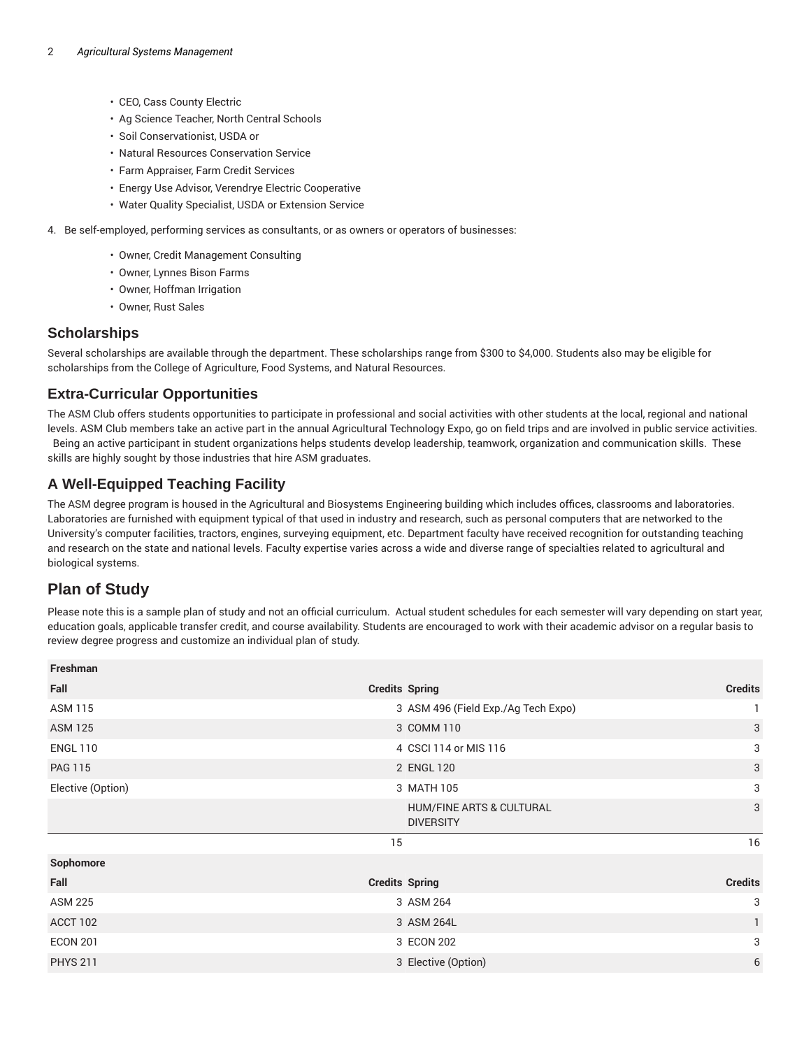- CEO, Cass County Electric
- Ag Science Teacher, North Central Schools
- Soil Conservationist, USDA or
- Natural Resources Conservation Service
- Farm Appraiser, Farm Credit Services
- Energy Use Advisor, Verendrye Electric Cooperative
- Water Quality Specialist, USDA or Extension Service
- 4. Be self-employed, performing services as consultants, or as owners or operators of businesses:
	- Owner, Credit Management Consulting
	- Owner, Lynnes Bison Farms
	- Owner, Hoffman Irrigation
	- Owner, Rust Sales

#### **Scholarships**

Several scholarships are available through the department. These scholarships range from \$300 to \$4,000. Students also may be eligible for scholarships from the College of Agriculture, Food Systems, and Natural Resources.

#### **Extra-Curricular Opportunities**

The ASM Club offers students opportunities to participate in professional and social activities with other students at the local, regional and national levels. ASM Club members take an active part in the annual Agricultural Technology Expo, go on field trips and are involved in public service activities. Being an active participant in student organizations helps students develop leadership, teamwork, organization and communication skills. These skills are highly sought by those industries that hire ASM graduates.

## **A Well-Equipped Teaching Facility**

The ASM degree program is housed in the Agricultural and Biosystems Engineering building which includes offices, classrooms and laboratories. Laboratories are furnished with equipment typical of that used in industry and research, such as personal computers that are networked to the University's computer facilities, tractors, engines, surveying equipment, etc. Department faculty have received recognition for outstanding teaching and research on the state and national levels. Faculty expertise varies across a wide and diverse range of specialties related to agricultural and biological systems.

# **Plan of Study**

Please note this is a sample plan of study and not an official curriculum. Actual student schedules for each semester will vary depending on start year, education goals, applicable transfer credit, and course availability. Students are encouraged to work with their academic advisor on a regular basis to review degree progress and customize an individual plan of study.

| Freshman          |                                              |                |
|-------------------|----------------------------------------------|----------------|
| Fall              | <b>Credits Spring</b>                        | <b>Credits</b> |
| <b>ASM 115</b>    | 3 ASM 496 (Field Exp./Ag Tech Expo)          |                |
| <b>ASM 125</b>    | 3 COMM 110                                   | 3              |
| <b>ENGL 110</b>   | 4 CSCI 114 or MIS 116                        | 3              |
| <b>PAG 115</b>    | 2 ENGL 120                                   | $\sqrt{3}$     |
| Elective (Option) | 3 MATH 105                                   | 3              |
|                   | HUM/FINE ARTS & CULTURAL<br><b>DIVERSITY</b> | 3              |
|                   | 15                                           | 16             |
| Sophomore         |                                              |                |
| Fall              | <b>Credits Spring</b>                        | <b>Credits</b> |
| <b>ASM 225</b>    | 3 ASM 264                                    | 3              |
| ACCT 102          | 3 ASM 264L                                   | 1              |
| <b>ECON 201</b>   | 3 ECON 202                                   | 3              |
| <b>PHYS 211</b>   | 3 Elective (Option)                          | 6              |
|                   |                                              |                |